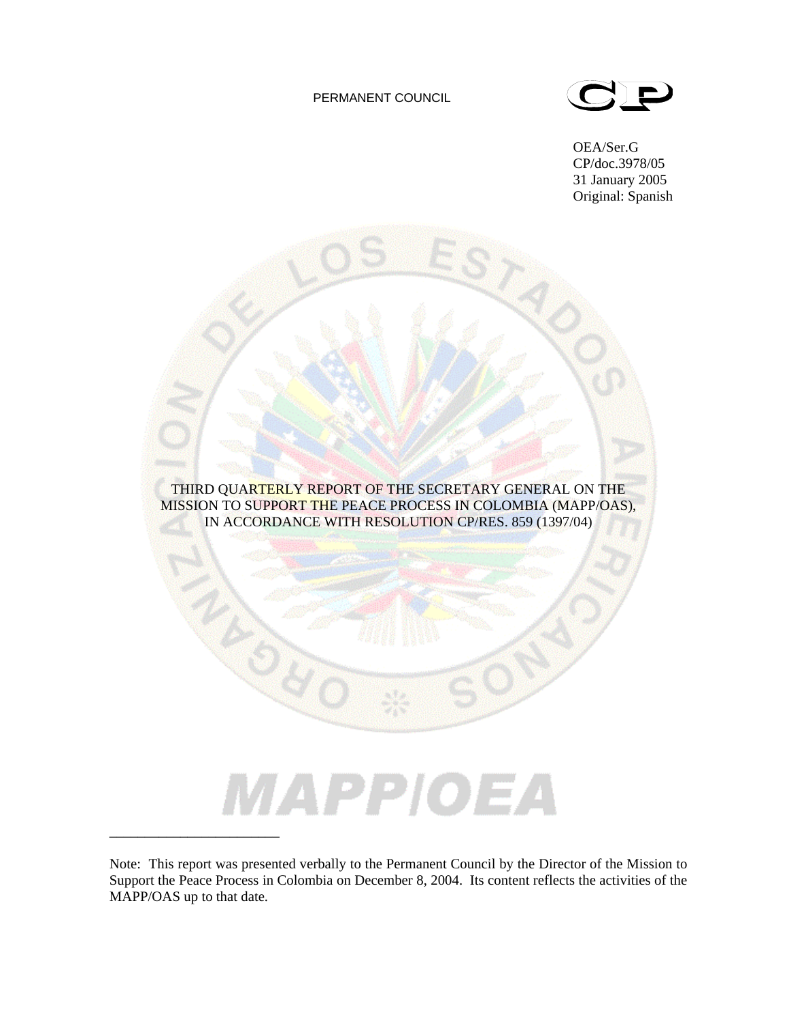## PERMANENT COUNCIL



OEA/Ser.G CP/doc.3978/05 31 January 2005 Original: Spanish



Note: This report was presented verbally to the Permanent Council by the Director of the Mission to Support the Peace Process in Colombia on December 8, 2004. Its content reflects the activities of the MAPP/OAS up to that date.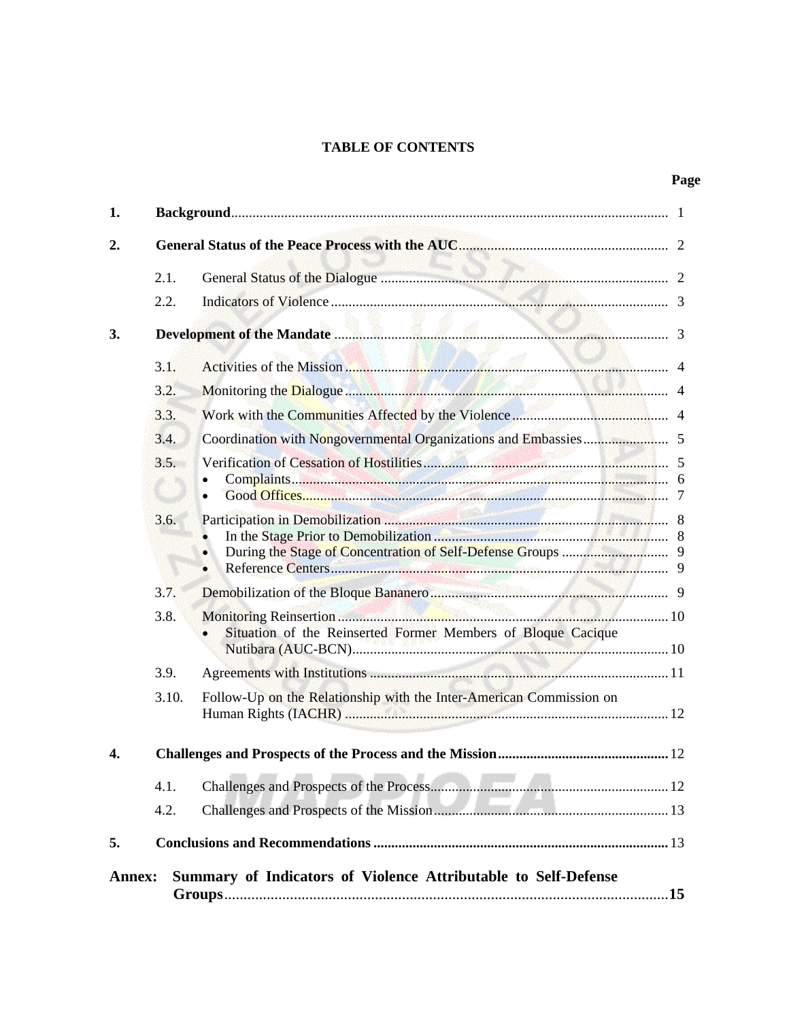## **TABLE OF CONTENTS**

# **Page**

| 1.               |       |                                                                     |  |  |  |  |  |
|------------------|-------|---------------------------------------------------------------------|--|--|--|--|--|
| $\overline{2}$ . |       |                                                                     |  |  |  |  |  |
|                  | 2.1.  |                                                                     |  |  |  |  |  |
|                  | 2.2.  |                                                                     |  |  |  |  |  |
| 3.               |       |                                                                     |  |  |  |  |  |
|                  | 3.1.  |                                                                     |  |  |  |  |  |
|                  | 3.2.  |                                                                     |  |  |  |  |  |
|                  | 3.3.  |                                                                     |  |  |  |  |  |
|                  | 3.4.  |                                                                     |  |  |  |  |  |
|                  | 3.5.  |                                                                     |  |  |  |  |  |
|                  | 3.6.  | In the Stage Prior to Demobilization <b>Manufacture 1996</b> 8      |  |  |  |  |  |
|                  | 3.7.  |                                                                     |  |  |  |  |  |
|                  | 3.8.  | Situation of the Reinserted Former Members of Bloque Cacique        |  |  |  |  |  |
|                  | 3.9.  |                                                                     |  |  |  |  |  |
|                  | 3.10. | Follow-Up on the Relationship with the Inter-American Commission on |  |  |  |  |  |
| 4.               |       |                                                                     |  |  |  |  |  |
|                  | 4.1.  |                                                                     |  |  |  |  |  |
|                  | 4.2.  |                                                                     |  |  |  |  |  |
| 5.               |       |                                                                     |  |  |  |  |  |
| <b>Annex:</b>    |       | Summary of Indicators of Violence Attributable to Self-Defense      |  |  |  |  |  |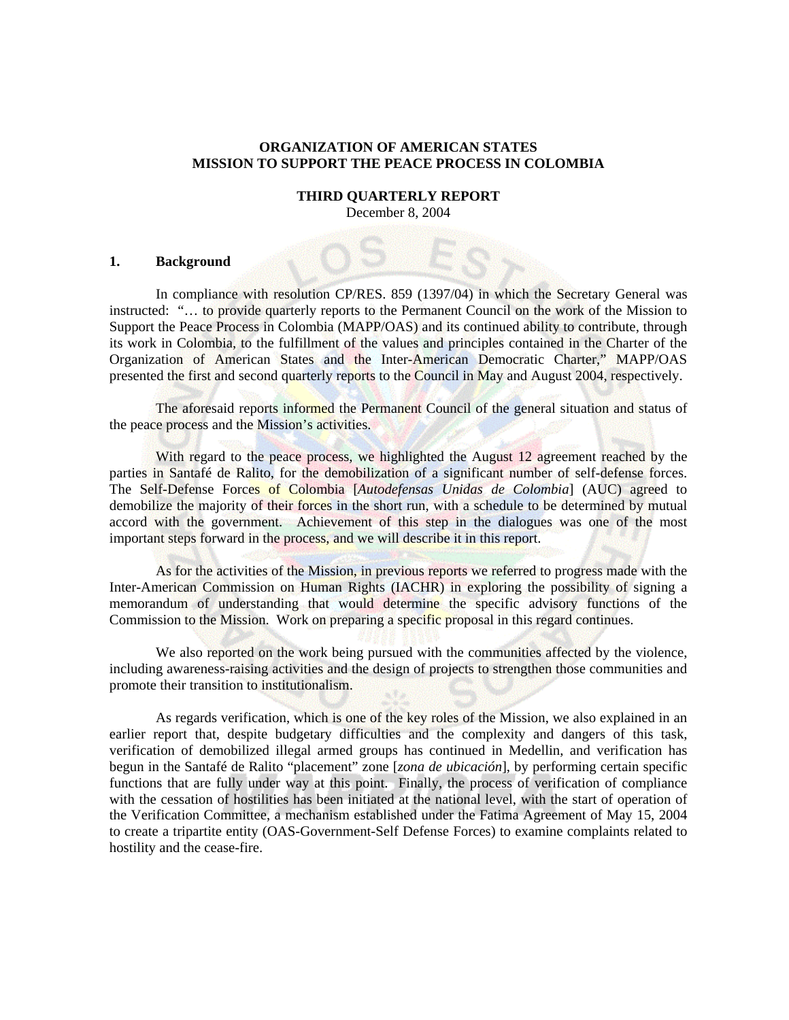## **ORGANIZATION OF AMERICAN STATES MISSION TO SUPPORT THE PEACE PROCESS IN COLOMBIA**

#### **THIRD QUARTERLY REPORT**  December 8, 2004

### **1. Background**

In compliance with resolution CP/RES. 859 (1397/04) in which the Secretary General was instructed: "… to provide quarterly reports to the Permanent Council on the work of the Mission to Support the Peace Process in Colombia (MAPP/OAS) and its continued ability to contribute, through its work in Colombia, to the fulfillment of the values and principles contained in the Charter of the Organization of American States and the Inter-American Democratic Charter," MAPP/OAS presented the first and second quarterly reports to the Council in May and August 2004, respectively.

The aforesaid reports informed the Permanent Council of the general situation and status of the peace process and the Mission's activities.

With regard to the peace process, we highlighted the August 12 agreement reached by the parties in Santafé de Ralito, for the demobilization of a significant number of self-defense forces. The Self-Defense Forces of Colombia [*Autodefensas Unidas de Colombia*] (AUC) agreed to demobilize the majority of their forces in the short run, with a schedule to be determined by mutual accord with the government. Achievement of this step in the dialogues was one of the most important steps forward in the process, and we will describe it in this report.

As for the activities of the Mission, in previous reports we referred to progress made with the Inter-American Commission on Human Rights (IACHR) in exploring the possibility of signing a memorandum of understanding that would determine the specific advisory functions of the Commission to the Mission. Work on preparing a specific proposal in this regard continues.

We also reported on the work being pursued with the communities affected by the violence, including awareness-raising activities and the design of projects to strengthen those communities and promote their transition to institutionalism.

As regards verification, which is one of the key roles of the Mission, we also explained in an earlier report that, despite budgetary difficulties and the complexity and dangers of this task, verification of demobilized illegal armed groups has continued in Medellin, and verification has begun in the Santafé de Ralito "placement" zone [*zona de ubicación*], by performing certain specific functions that are fully under way at this point. Finally, the process of verification of compliance with the cessation of hostilities has been initiated at the national level, with the start of operation of the Verification Committee, a mechanism established under the Fatima Agreement of May 15, 2004 to create a tripartite entity (OAS-Government-Self Defense Forces) to examine complaints related to hostility and the cease-fire.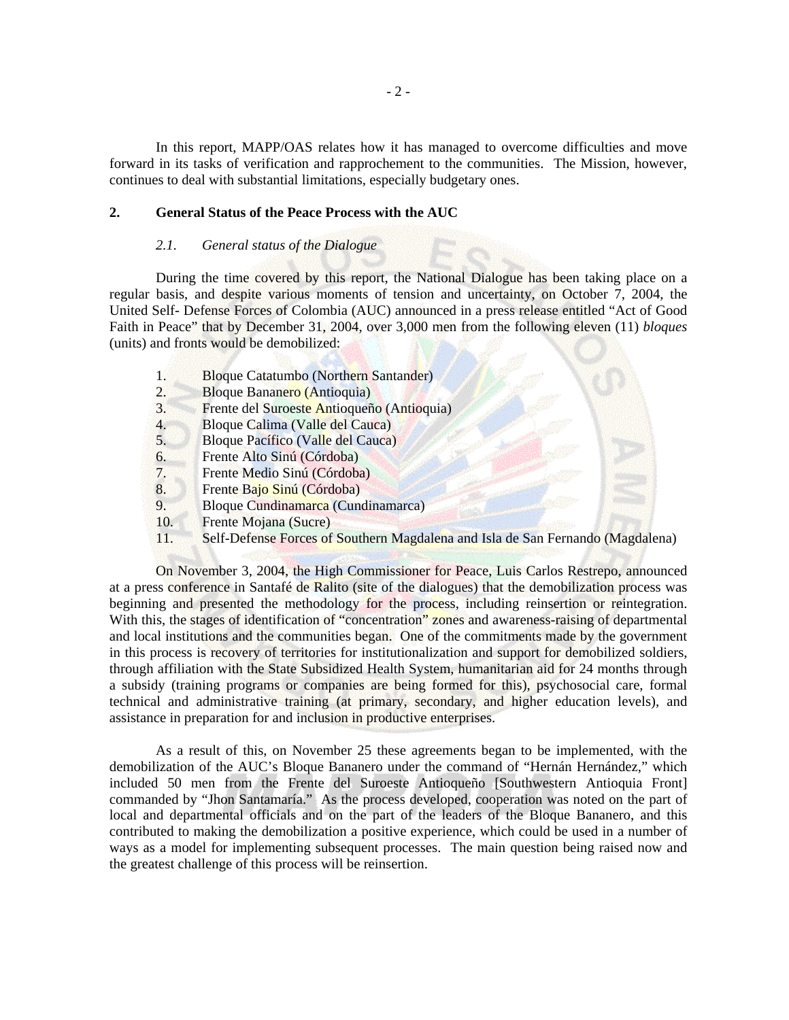In this report, MAPP/OAS relates how it has managed to overcome difficulties and move forward in its tasks of verification and rapprochement to the communities. The Mission, however, continues to deal with substantial limitations, especially budgetary ones.

## **2. General Status of the Peace Process with the AUC**

#### *2.1. General status of the Dialogue*

During the time covered by this report, the National Dialogue has been taking place on a regular basis, and despite various moments of tension and uncertainty, on October 7, 2004, the United Self- Defense Forces of Colombia (AUC) announced in a press release entitled "Act of Good Faith in Peace" that by December 31, 2004, over 3,000 men from the following eleven (11) *bloques*  (units) and fronts would be demobilized:

- 1. Bloque Catatumbo (Northern Santander)
- 2. Bloque Bananero (Antioquia)
- 3. Frente del Suroeste Antioqueño (Antioquia)
- 4. Bloque Calima (Valle del Cauca)<br>5. Bloque Pacífico (Valle del Cauca)
- 5. Bloque Pacífico (Valle del Cauca)
- 6. Frente Alto Sinú (Córdoba)
- 7. Frente Medio Sinú (Córdoba)
- 8. Frente Bajo Sinú (Córdoba)
- 9. Bloque Cundinamarca (Cundinamarca)
- 10. Frente Mojana (Sucre)
- 11. Self-Defense Forces of Southern Magdalena and Isla de San Fernando (Magdalena)

On November 3, 2004, the High Commissioner for Peace, Luis Carlos Restrepo, announced at a press conference in Santafé de Ralito (site of the dialogues) that the demobilization process was beginning and presented the methodology for the process, including reinsertion or reintegration. With this, the stages of identification of "concentration" zones and awareness-raising of departmental and local institutions and the communities began. One of the commitments made by the government in this process is recovery of territories for institutionalization and support for demobilized soldiers, through affiliation with the State Subsidized Health System, humanitarian aid for 24 months through a subsidy (training programs or companies are being formed for this), psychosocial care, formal technical and administrative training (at primary, secondary, and higher education levels), and assistance in preparation for and inclusion in productive enterprises.

As a result of this, on November 25 these agreements began to be implemented, with the demobilization of the AUC's Bloque Bananero under the command of "Hernán Hernández," which included 50 men from the Frente del Suroeste Antioqueño [Southwestern Antioquia Front] commanded by "Jhon Santamaría." As the process developed, cooperation was noted on the part of local and departmental officials and on the part of the leaders of the Bloque Bananero, and this contributed to making the demobilization a positive experience, which could be used in a number of ways as a model for implementing subsequent processes. The main question being raised now and the greatest challenge of this process will be reinsertion.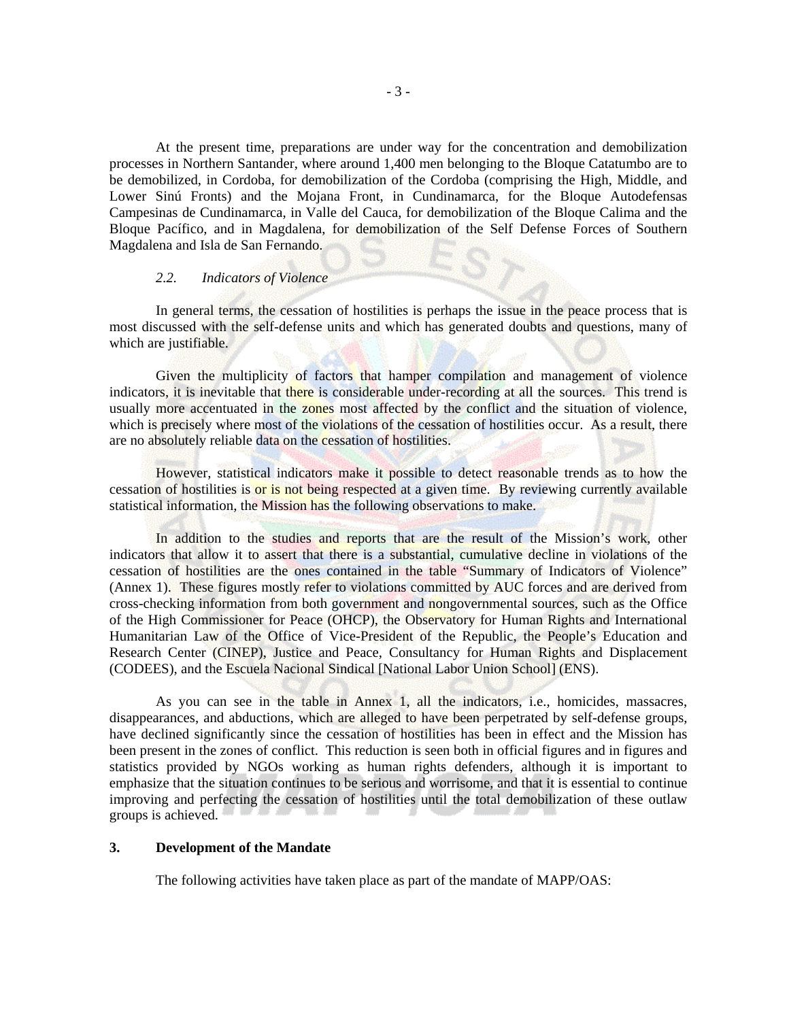At the present time, preparations are under way for the concentration and demobilization processes in Northern Santander, where around 1,400 men belonging to the Bloque Catatumbo are to be demobilized, in Cordoba, for demobilization of the Cordoba (comprising the High, Middle, and Lower Sinú Fronts) and the Mojana Front, in Cundinamarca, for the Bloque Autodefensas Campesinas de Cundinamarca, in Valle del Cauca, for demobilization of the Bloque Calima and the Bloque Pacífico, and in Magdalena, for demobilization of the Self Defense Forces of Southern Magdalena and Isla de San Fernando.

### *2.2. Indicators of Violence*

In general terms, the cessation of hostilities is perhaps the issue in the peace process that is most discussed with the self-defense units and which has generated doubts and questions, many of which are justifiable.

Given the multiplicity of factors that hamper compilation and management of violence indicators, it is inevitable that there is considerable under-recording at all the sources. This trend is usually more accentuated in the zones most affected by the conflict and the situation of violence, which is precisely where most of the violations of the cessation of hostilities occur. As a result, there are no absolutely reliable data on the cessation of hostilities.

However, statistical indicators make it possible to detect reasonable trends as to how the cessation of hostilities is or is not being respected at a given time. By reviewing currently available statistical information, the Mission has the following observations to make.

In addition to the studies and reports that are the result of the Mission's work, other indicators that allow it to assert that there is a substantial, cumulative decline in violations of the cessation of hostilities are the ones contained in the table "Summary of Indicators of Violence" (Annex 1). These figures mostly refer to violations committed by AUC forces and are derived from cross-checking information from both government and nongovernmental sources, such as the Office of the High Commissioner for Peace (OHCP), the Observatory for Human Rights and International Humanitarian Law of the Office of Vice-President of the Republic, the People's Education and Research Center (CINEP), Justice and Peace, Consultancy for Human Rights and Displacement (CODEES), and the Escuela Nacional Sindical [National Labor Union School] (ENS).

As you can see in the table in Annex 1, all the indicators, i.e., homicides, massacres, disappearances, and abductions, which are alleged to have been perpetrated by self-defense groups, have declined significantly since the cessation of hostilities has been in effect and the Mission has been present in the zones of conflict. This reduction is seen both in official figures and in figures and statistics provided by NGOs working as human rights defenders, although it is important to emphasize that the situation continues to be serious and worrisome, and that it is essential to continue improving and perfecting the cessation of hostilities until the total demobilization of these outlaw groups is achieved.

#### **3. Development of the Mandate**

The following activities have taken place as part of the mandate of MAPP/OAS: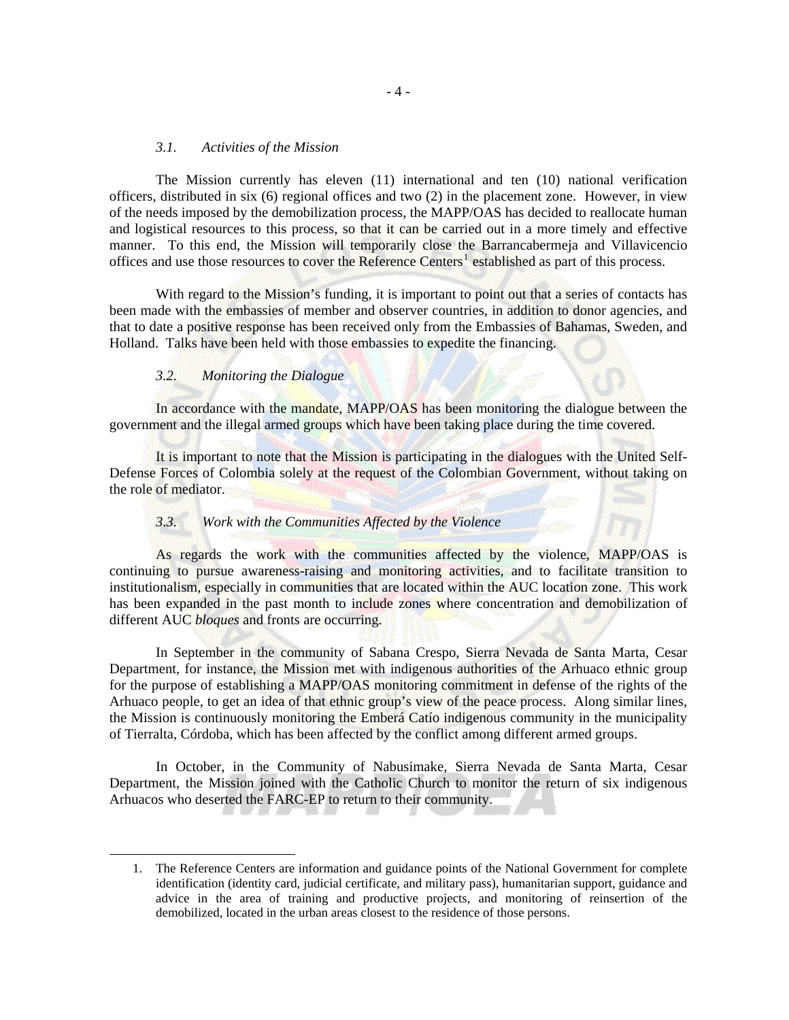## *3.1. Activities of the Mission*

The Mission currently has eleven (11) international and ten (10) national verification officers, distributed in six (6) regional offices and two (2) in the placement zone. However, in view of the needs imposed by the demobilization process, the MAPP/OAS has decided to reallocate human and logistical resources to this process, so that it can be carried out in a more timely and effective manner. To this end, the Mission will temporarily close the Barrancabermeja and Villavicencio offices and use those resources to cover the Reference Centers<sup>[1](#page-5-0)</sup> established as part of this process.

With regard to the Mission's funding, it is important to point out that a series of contacts has been made with the embassies of member and observer countries, in addition to donor agencies, and that to date a positive response has been received only from the Embassies of Bahamas, Sweden, and Holland. Talks have been held with those embassies to expedite the financing.

## *3.2. Monitoring the Dialogue*

<span id="page-5-0"></span><u>.</u>

In accordance with the mandate, MAPP/OAS has been monitoring the dialogue between the government and the illegal armed groups which have been taking place during the time covered.

It is important to note that the Mission is participating in the dialogues with the United Self-Defense Forces of Colombia solely at the request of the Colombian Government, without taking on the role of mediator.

#### *3.3. Work with the Communities Affected by the Violence*

As regards the work with the communities affected by the violence, MAPP/OAS is continuing to pursue awareness-raising and monitoring activities, and to facilitate transition to institutionalism, especially in communities that are located within the AUC location zone. This work has been expanded in the past month to include zones where concentration and demobilization of different AUC *bloques* and fronts are occurring.

In September in the community of Sabana Crespo, Sierra Nevada de Santa Marta, Cesar Department, for instance, the Mission met with indigenous authorities of the Arhuaco ethnic group for the purpose of establishing a MAPP/OAS monitoring commitment in defense of the rights of the Arhuaco people, to get an idea of that ethnic group's view of the peace process. Along similar lines, the Mission is continuously monitoring the Emberá Catío indigenous community in the municipality of Tierralta, Córdoba, which has been affected by the conflict among different armed groups.

In October, in the Community of Nabusimake, Sierra Nevada de Santa Marta, Cesar Department, the Mission joined with the Catholic Church to monitor the return of six indigenous Arhuacos who deserted the FARC-EP to return to their community.

<sup>1.</sup> The Reference Centers are information and guidance points of the National Government for complete identification (identity card, judicial certificate, and military pass), humanitarian support, guidance and advice in the area of training and productive projects, and monitoring of reinsertion of the demobilized, located in the urban areas closest to the residence of those persons.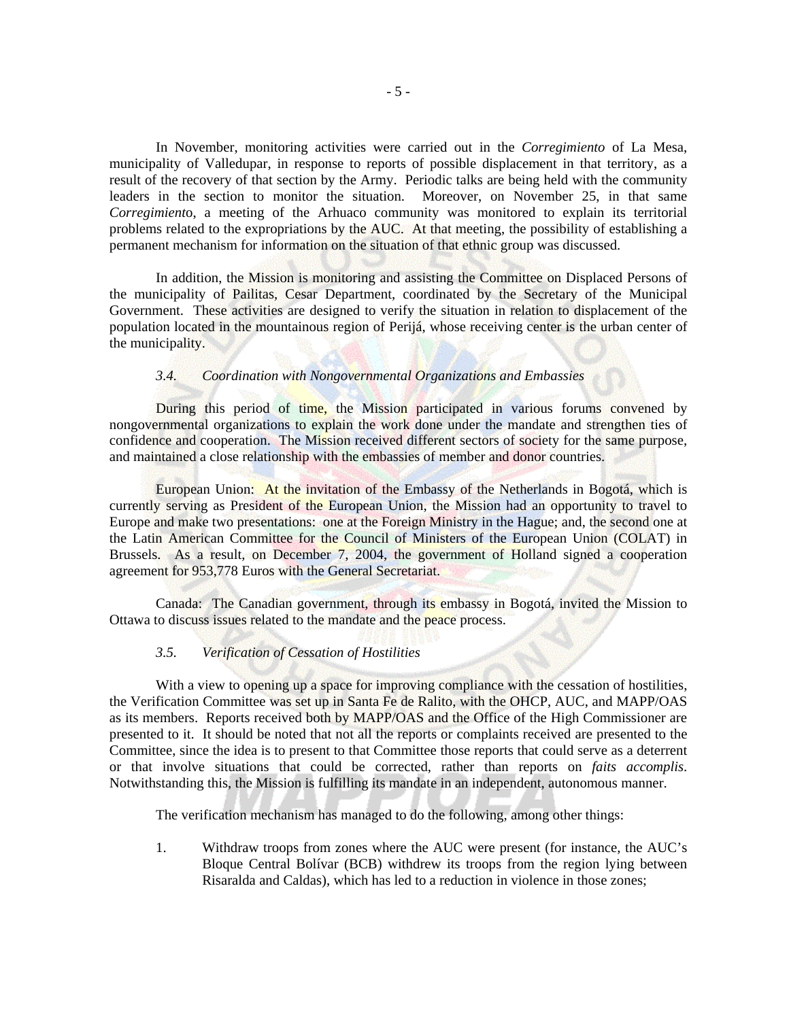In November, monitoring activities were carried out in the *Corregimiento* of La Mesa, municipality of Valledupar, in response to reports of possible displacement in that territory, as a result of the recovery of that section by the Army. Periodic talks are being held with the community leaders in the section to monitor the situation. Moreover, on November 25, in that same *Corregimient*o, a meeting of the Arhuaco community was monitored to explain its territorial problems related to the expropriations by the AUC. At that meeting, the possibility of establishing a permanent mechanism for information on the situation of that ethnic group was discussed.

In addition, the Mission is monitoring and assisting the Committee on Displaced Persons of the municipality of Pailitas, Cesar Department, coordinated by the Secretary of the Municipal Government. These activities are designed to verify the situation in relation to displacement of the population located in the mountainous region of Perijá, whose receiving center is the urban center of the municipality.

## *3.4. Coordination with Nongovernmental Organizations and Embassies*

During this period of time, the Mission participated in various forums convened by nongovernmental organizations to explain the work done under the mandate and strengthen ties of confidence and cooperation. The Mission received different sectors of society for the same purpose, and maintained a close relationship with the embassies of member and donor countries.

European Union: At the invitation of the Embassy of the Netherlands in Bogotá, which is currently serving as President of the European Union, the Mission had an opportunity to travel to Europe and make two presentations: one at the Foreign Ministry in the Hague; and, the second one at the Latin American Committee for the Council of Ministers of the European Union (COLAT) in Brussels. As a result, on December 7, 2004, the government of Holland signed a cooperation agreement for 953,778 Euros with the General Secretariat.

Canada: The Canadian government, through its embassy in Bogotá, invited the Mission to Ottawa to discuss issues related to the mandate and the peace process.

## *3.5. Verification of Cessation of Hostilities*

With a view to opening up a space for improving compliance with the cessation of hostilities, the Verification Committee was set up in Santa Fe de Ralito, with the OHCP, AUC, and MAPP/OAS as its members. Reports received both by MAPP/OAS and the Office of the High Commissioner are presented to it. It should be noted that not all the reports or complaints received are presented to the Committee, since the idea is to present to that Committee those reports that could serve as a deterrent or that involve situations that could be corrected, rather than reports on *faits accomplis*. Notwithstanding this, the Mission is fulfilling its mandate in an independent, autonomous manner.

The verification mechanism has managed to do the following, among other things:

1. Withdraw troops from zones where the AUC were present (for instance, the AUC's Bloque Central Bolívar (BCB) withdrew its troops from the region lying between Risaralda and Caldas), which has led to a reduction in violence in those zones;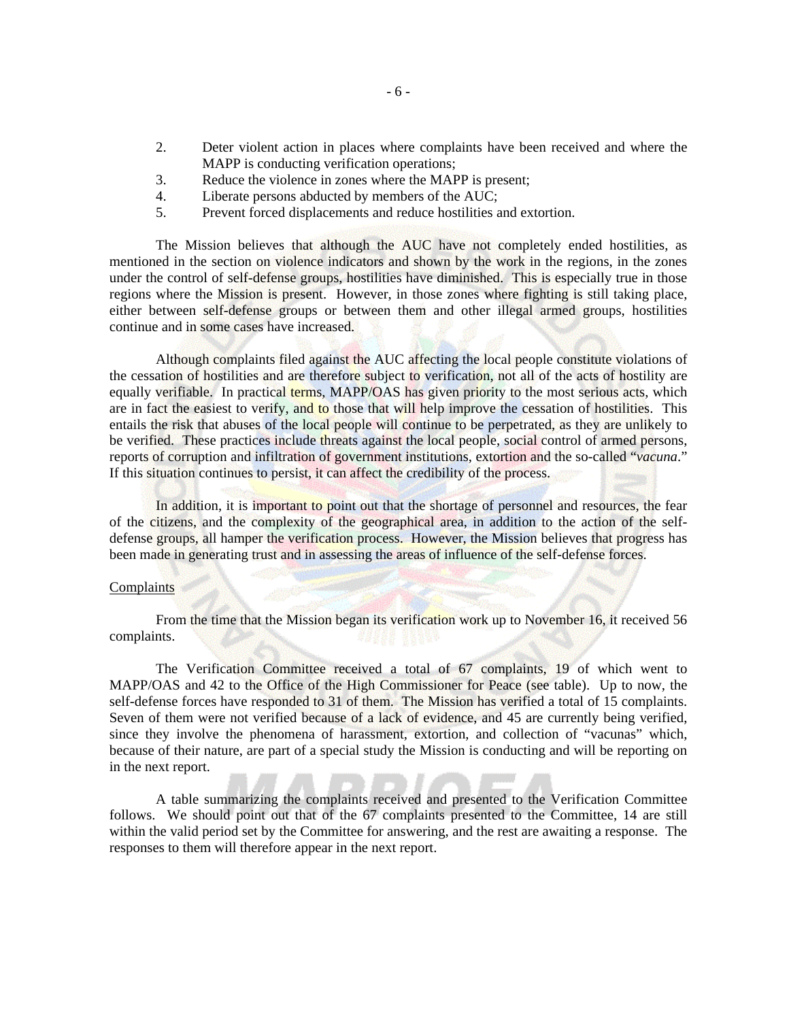- 2. Deter violent action in places where complaints have been received and where the MAPP is conducting verification operations;
- 3. Reduce the violence in zones where the MAPP is present;
- 4. Liberate persons abducted by members of the AUC;
- 5. Prevent forced displacements and reduce hostilities and extortion.

The Mission believes that although the AUC have not completely ended hostilities, as mentioned in the section on violence indicators and shown by the work in the regions, in the zones under the control of self-defense groups, hostilities have diminished. This is especially true in those regions where the Mission is present. However, in those zones where fighting is still taking place, either between self-defense groups or between them and other illegal armed groups, hostilities continue and in some cases have increased.

Although complaints filed against the AUC affecting the local people constitute violations of the cessation of hostilities and are therefore subject to verification, not all of the acts of hostility are equally verifiable. In practical terms, MAPP/OAS has given priority to the most serious acts, which are in fact the easiest to verify, and to those that will help improve the cessation of hostilities. This entails the risk that abuses of the local people will continue to be perpetrated, as they are unlikely to be verified. These practices include threats against the local people, social control of armed persons, reports of corruption and infiltration of government institutions, extortion and the so-called "*vacuna*." If this situation continues to persist, it can affect the credibility of the process.

In addition, it is important to point out that the shortage of personnel and resources, the fear of the citizens, and the complexity of the geographical area, in addition to the action of the selfdefense groups, all hamper the verification process. However, the Mission believes that progress has been made in generating trust and in assessing the areas of influence of the self-defense forces.

## **Complaints**

From the time that the Mission began its verification work up to November 16, it received 56 complaints.

The Verification Committee received a total of 67 complaints, 19 of which went to MAPP/OAS and 42 to the Office of the High Commissioner for Peace (see table). Up to now, the self-defense forces have responded to 31 of them. The Mission has verified a total of 15 complaints. Seven of them were not verified because of a lack of evidence, and 45 are currently being verified, since they involve the phenomena of harassment, extortion, and collection of "vacunas" which, because of their nature, are part of a special study the Mission is conducting and will be reporting on in the next report.

A table summarizing the complaints received and presented to the Verification Committee follows. We should point out that of the 67 complaints presented to the Committee, 14 are still within the valid period set by the Committee for answering, and the rest are awaiting a response. The responses to them will therefore appear in the next report.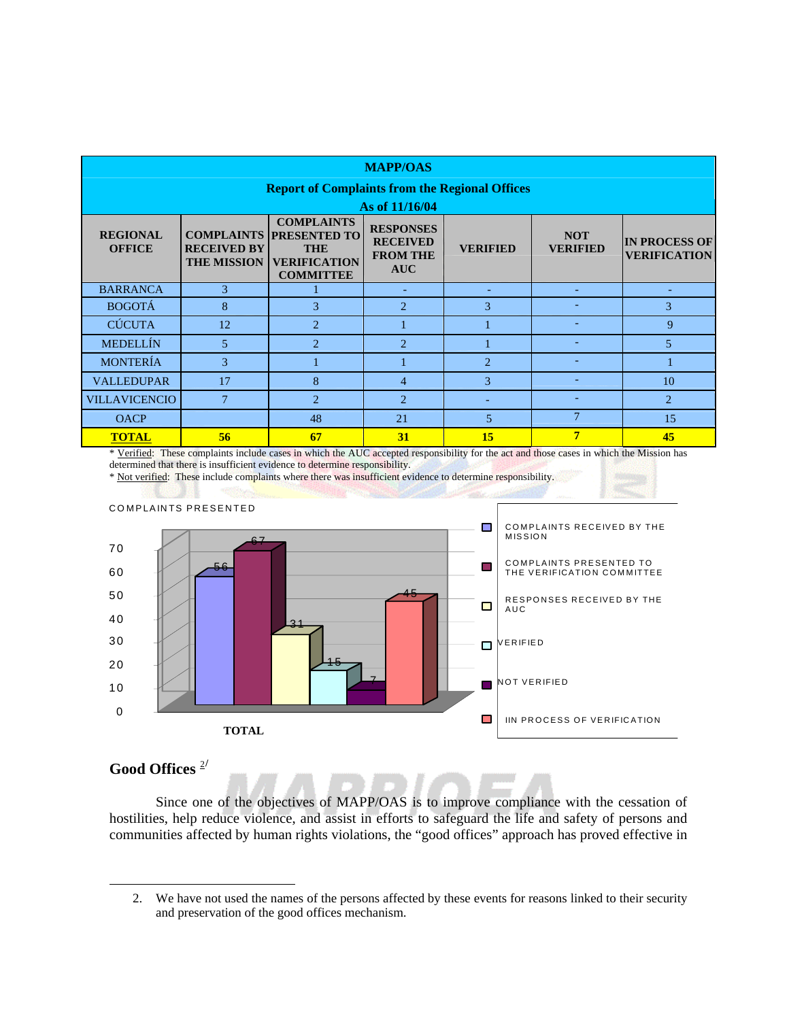| <b>MAPP/OAS</b>                                       |                                          |                                                                                                                                                      |                                                                      |                                                |                               |                                             |  |  |  |  |  |
|-------------------------------------------------------|------------------------------------------|------------------------------------------------------------------------------------------------------------------------------------------------------|----------------------------------------------------------------------|------------------------------------------------|-------------------------------|---------------------------------------------|--|--|--|--|--|
| <b>Report of Complaints from the Regional Offices</b> |                                          |                                                                                                                                                      |                                                                      |                                                |                               |                                             |  |  |  |  |  |
| As of 11/16/04                                        |                                          |                                                                                                                                                      |                                                                      |                                                |                               |                                             |  |  |  |  |  |
| <b>REGIONAL</b><br><b>OFFICE</b>                      | <b>RECEIVED BY</b><br><b>THE MISSION</b> | <b>COMPLAINTS</b><br><b>COMPLAINTS PRESENTED TO</b><br><b>THE</b><br><b>VERIFICATION</b><br><b>COMMITTEE</b>                                         | <b>RESPONSES</b><br><b>RECEIVED</b><br><b>FROM THE</b><br><b>AUC</b> | <b>VERIFIED</b>                                | <b>NOT</b><br><b>VERIFIED</b> | <b>IN PROCESS OF</b><br><b>VERIFICATION</b> |  |  |  |  |  |
| <b>BARRANCA</b>                                       | 3                                        |                                                                                                                                                      | ۰                                                                    |                                                |                               |                                             |  |  |  |  |  |
| <b>BOGOTÁ</b>                                         | 8<br>3                                   |                                                                                                                                                      | $\overline{2}$                                                       | 3                                              |                               | 3                                           |  |  |  |  |  |
| <b>CÚCUTA</b>                                         | 12                                       | 2                                                                                                                                                    |                                                                      |                                                |                               | $\mathbf{Q}$                                |  |  |  |  |  |
| <b>MEDELLÍN</b>                                       | $\mathcal{D}_{\alpha}$<br>5              |                                                                                                                                                      | $\mathcal{D}_{\alpha}$                                               |                                                |                               | $\overline{5}$                              |  |  |  |  |  |
| <b>MONTERÍA</b>                                       | 3                                        |                                                                                                                                                      |                                                                      | $\overline{2}$                                 |                               |                                             |  |  |  |  |  |
| <b>VALLEDUPAR</b>                                     | 8<br>17                                  |                                                                                                                                                      | $\overline{4}$                                                       | 3                                              |                               | 10                                          |  |  |  |  |  |
| <b>VILLAVICENCIO</b>                                  | 7<br>$\mathcal{D}_{\alpha}$              |                                                                                                                                                      | $\overline{2}$                                                       |                                                |                               | $\overline{2}$                              |  |  |  |  |  |
| <b>OACP</b>                                           |                                          | 48                                                                                                                                                   | 21                                                                   | 5                                              | 7                             | 15                                          |  |  |  |  |  |
| <b>TOTAL</b>                                          | 56<br>the control of the control of the  | 67<br>$\mathbf{1}$ $\mathbf{1}$ $\mathbf{1}$ $\mathbf{1}$ $\mathbf{1}$ $\mathbf{1}$ $\mathbf{1}$ $\mathbf{1}$ $\mathbf{1}$ $\mathbf{1}$ $\mathbf{1}$ | 31                                                                   | 15<br><b>PERMIT AND PROPERTY AND RESIDENCE</b> | 7                             | 45<br><b>CONTRACTOR</b> CONTRACTOR          |  |  |  |  |  |

\* Verified: These complaints include cases in which the AUC accepted responsibility for the act and those cases in which the Mission has determined that there is insufficient evidence to determine responsibility.

\* Not verified: These include complaints where there was insufficient evidence to determine responsibility.



## **Good Offices** [2](#page-8-0)**/**

<span id="page-8-0"></span>-

Since one of the objectives of MAPP/OAS is to improve compliance with the cessation of hostilities, help reduce violence, and assist in efforts to safeguard the life and safety of persons and communities affected by human rights violations, the "good offices" approach has proved effective in

<sup>2.</sup> We have not used the names of the persons affected by these events for reasons linked to their security and preservation of the good offices mechanism.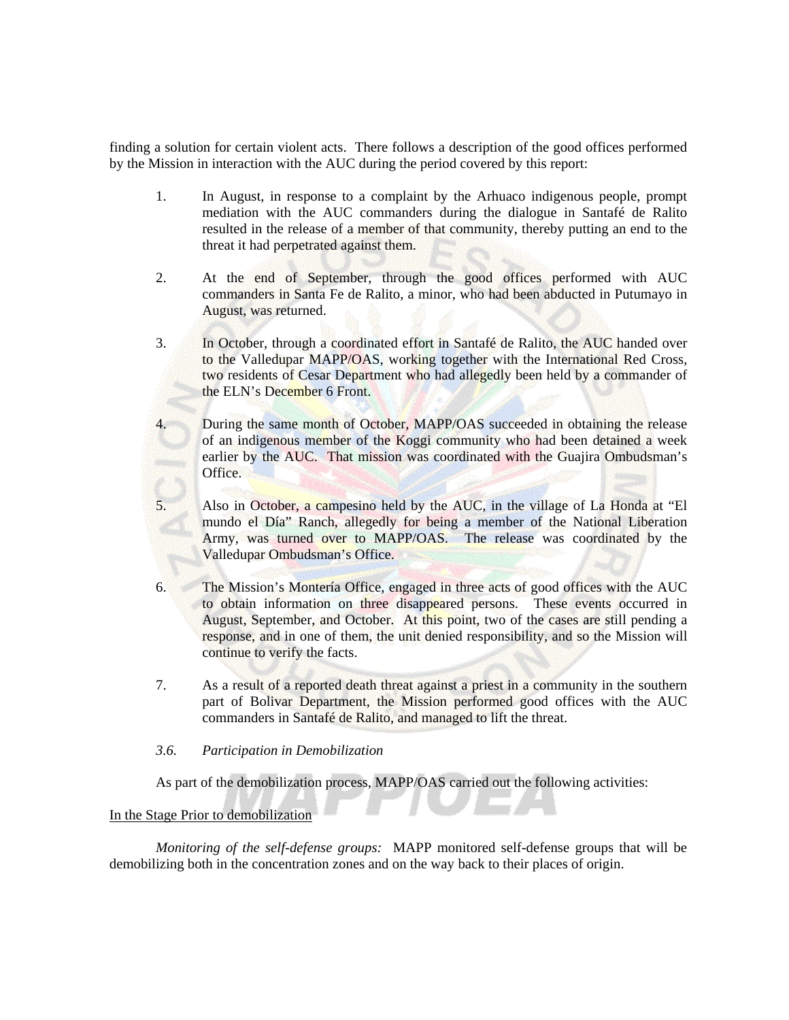finding a solution for certain violent acts. There follows a description of the good offices performed by the Mission in interaction with the AUC during the period covered by this report:

- 1. In August, in response to a complaint by the Arhuaco indigenous people, prompt mediation with the AUC commanders during the dialogue in Santafé de Ralito resulted in the release of a member of that community, thereby putting an end to the threat it had perpetrated against them.
- 2. At the end of September, through the good offices performed with AUC commanders in Santa Fe de Ralito, a minor, who had been abducted in Putumayo in August, was returned.
- 3. In October, through a coordinated effort in Santafé de Ralito, the AUC handed over to the Valledupar MAPP/OAS, working together with the International Red Cross, two residents of Cesar Department who had allegedly been held by a commander of the ELN's December 6 Front.
	- During the same month of October, MAPP/OAS succeeded in obtaining the release of an indigenous member of the Koggi community who had been detained a week earlier by the AUC. That mission was coordinated with the Guajira Ombudsman's Office.
- 5. Also in October, a campesino held by the AUC, in the village of La Honda at "El mundo el Día" Ranch, allegedly for being a member of the National Liberation Army, was turned over to MAPP/OAS. The release was coordinated by the Valledupar Ombudsman's Office.
- 6. The Mission's Montería Office, engaged in three acts of good offices with the AUC to obtain information on three disappeared persons. These events occurred in August, September, and October. At this point, two of the cases are still pending a response, and in one of them, the unit denied responsibility, and so the Mission will continue to verify the facts.
- 7. As a result of a reported death threat against a priest in a community in the southern part of Bolivar Department, the Mission performed good offices with the AUC commanders in Santafé de Ralito, and managed to lift the threat.

### *3.6. Participation in Demobilization*

As part of the demobilization process, MAPP/OAS carried out the following activities:

## In the Stage Prior to demobilization

*Monitoring of the self-defense groups:* MAPP monitored self-defense groups that will be demobilizing both in the concentration zones and on the way back to their places of origin.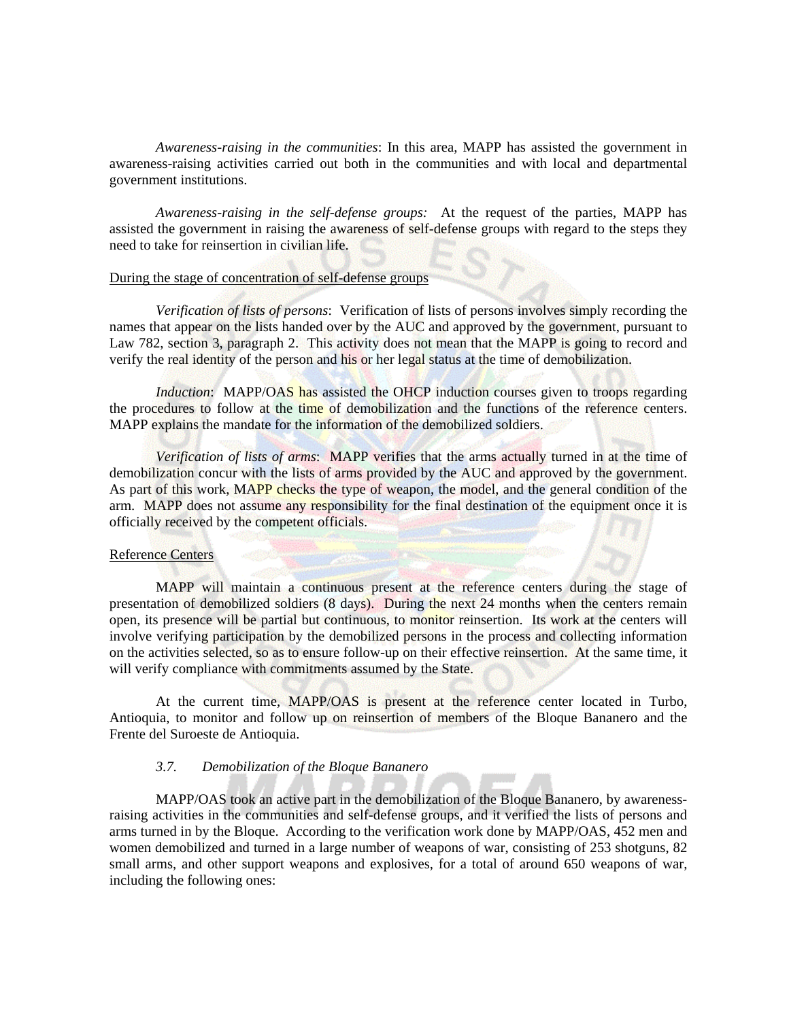*Awareness-raising in the communities*: In this area, MAPP has assisted the government in awareness-raising activities carried out both in the communities and with local and departmental government institutions.

*Awareness-raising in the self-defense groups:* At the request of the parties, MAPP has assisted the government in raising the awareness of self-defense groups with regard to the steps they need to take for reinsertion in civilian life.

## During the stage of concentration of self-defense groups

*Verification of lists of persons*: Verification of lists of persons involves simply recording the names that appear on the lists handed over by the AUC and approved by the government, pursuant to Law 782, section 3, paragraph 2. This activity does not mean that the MAPP is going to record and verify the real identity of the person and his or her legal status at the time of demobilization.

*Induction*: MAPP/OAS has assisted the OHCP induction courses given to troops regarding the procedures to follow at the time of demobilization and the functions of the reference centers. MAPP explains the mandate for the information of the demobilized soldiers.

*Verification of lists of arms*: MAPP verifies that the arms actually turned in at the time of demobilization concur with the lists of arms provided by the AUC and approved by the government. As part of this work, MAPP checks the type of weapon, the model, and the general condition of the arm. MAPP does not assume any responsibility for the final destination of the equipment once it is officially received by the competent officials.

#### Reference Centers

MAPP will maintain a continuous present at the reference centers during the stage of presentation of demobilized soldiers (8 days). During the next 24 months when the centers remain open, its presence will be partial but continuous, to monitor reinsertion. Its work at the centers will involve verifying participation by the demobilized persons in the process and collecting information on the activities selected, so as to ensure follow-up on their effective reinsertion. At the same time, it will verify compliance with commitments assumed by the State.

At the current time, MAPP/OAS is present at the reference center located in Turbo, Antioquia, to monitor and follow up on reinsertion of members of the Bloque Bananero and the Frente del Suroeste de Antioquia.

#### *3.7. Demobilization of the Bloque Bananero*

MAPP/OAS took an active part in the demobilization of the Bloque Bananero, by awarenessraising activities in the communities and self-defense groups, and it verified the lists of persons and arms turned in by the Bloque. According to the verification work done by MAPP/OAS, 452 men and women demobilized and turned in a large number of weapons of war, consisting of 253 shotguns, 82 small arms, and other support weapons and explosives, for a total of around 650 weapons of war, including the following ones: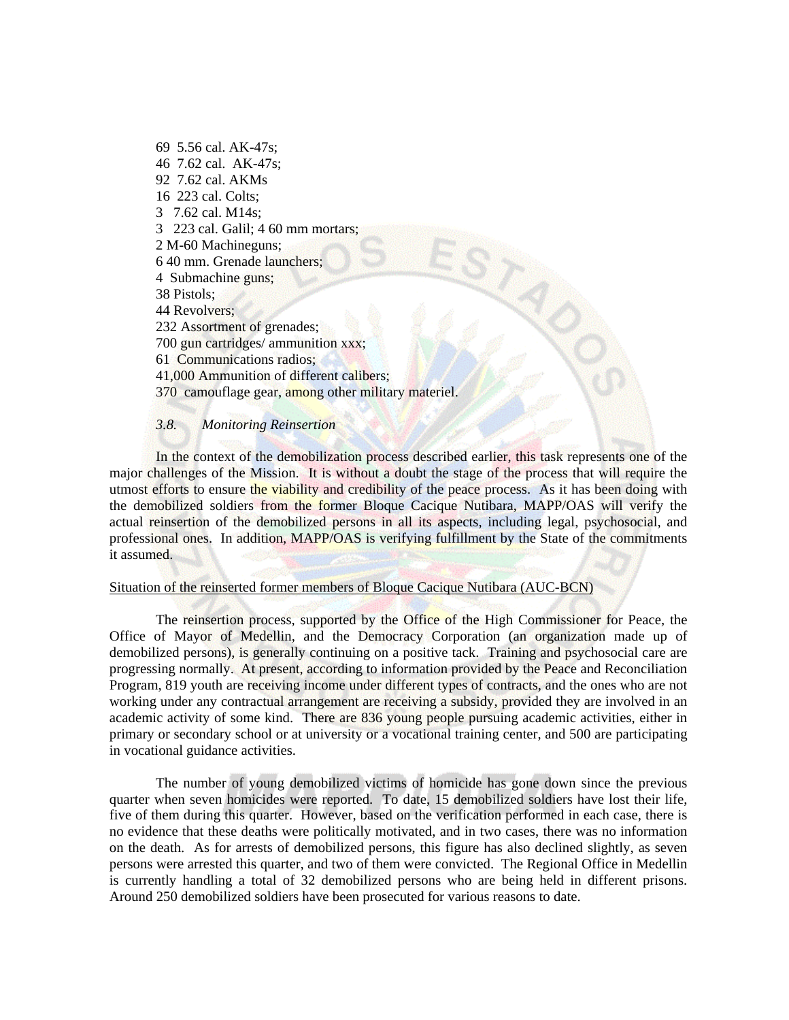69 5.56 cal. AK-47s; 46 7.62 cal. AK-47s; 92 7.62 cal. AKMs 16 223 cal. Colts; 3 7.62 cal. M14s; 3 223 cal. Galil; 4 60 mm mortars; 2 M-60 Machineguns; 6 40 mm. Grenade launchers; 4 Submachine guns; 38 Pistols; 44 Revolvers; 232 Assortment of grenades; 700 gun cartridges/ ammunition xxx; 61 Communications radios; 41,000 Ammunition of different calibers; 370 camouflage gear, among other military materiel.

## *3.8. Monitoring Reinsertion*

In the context of the demobilization process described earlier, this task represents one of the major challenges of the Mission. It is without a doubt the stage of the process that will require the utmost efforts to ensure the viability and credibility of the peace process. As it has been doing with the demobilized soldiers from the former Bloque Cacique Nutibara, MAPP/OAS will verify the actual reinsertion of the demobilized persons in all its aspects, including legal, psychosocial, and professional ones. In addition, MAPP/OAS is verifying fulfillment by the State of the commitments it assumed.

## Situation of the reinserted former members of Bloque Cacique Nutibara (AUC-BCN)

The reinsertion process, supported by the Office of the High Commissioner for Peace, the Office of Mayor of Medellin, and the Democracy Corporation (an organization made up of demobilized persons), is generally continuing on a positive tack. Training and psychosocial care are progressing normally. At present, according to information provided by the Peace and Reconciliation Program, 819 youth are receiving income under different types of contracts, and the ones who are not working under any contractual arrangement are receiving a subsidy, provided they are involved in an academic activity of some kind. There are 836 young people pursuing academic activities, either in primary or secondary school or at university or a vocational training center, and 500 are participating in vocational guidance activities.

The number of young demobilized victims of homicide has gone down since the previous quarter when seven homicides were reported. To date, 15 demobilized soldiers have lost their life, five of them during this quarter. However, based on the verification performed in each case, there is no evidence that these deaths were politically motivated, and in two cases, there was no information on the death. As for arrests of demobilized persons, this figure has also declined slightly, as seven persons were arrested this quarter, and two of them were convicted. The Regional Office in Medellin is currently handling a total of 32 demobilized persons who are being held in different prisons. Around 250 demobilized soldiers have been prosecuted for various reasons to date.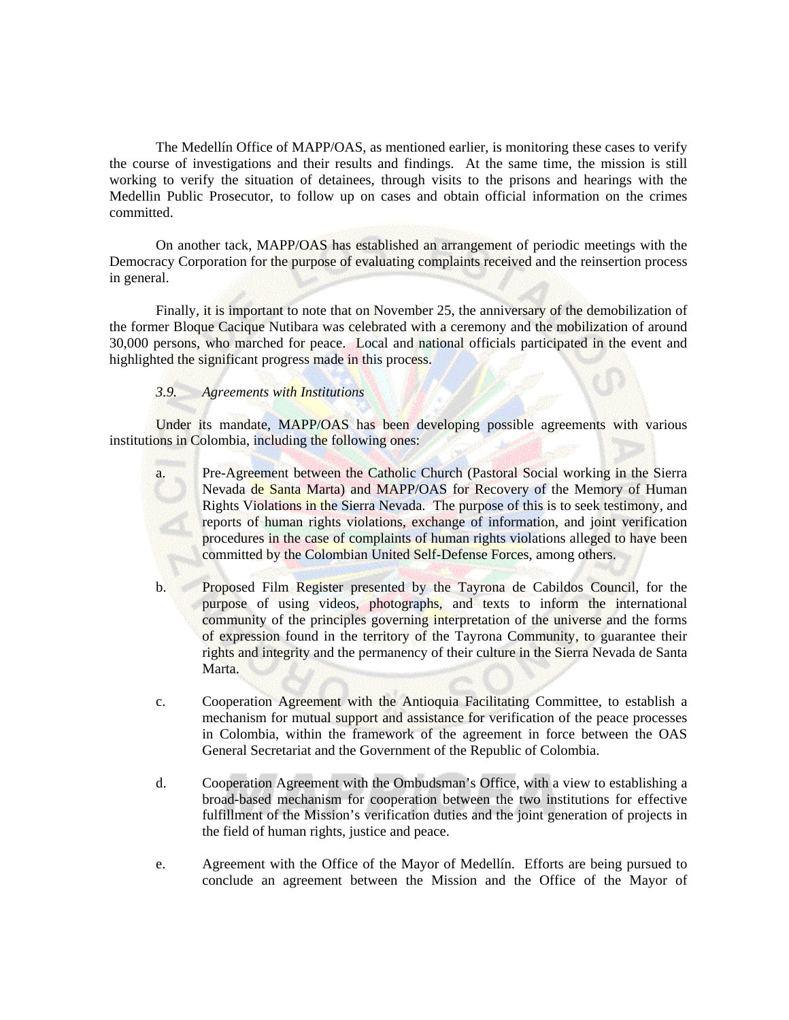The Medellín Office of MAPP/OAS, as mentioned earlier, is monitoring these cases to verify the course of investigations and their results and findings. At the same time, the mission is still working to verify the situation of detainees, through visits to the prisons and hearings with the Medellin Public Prosecutor, to follow up on cases and obtain official information on the crimes committed.

On another tack, MAPP/OAS has established an arrangement of periodic meetings with the Democracy Corporation for the purpose of evaluating complaints received and the reinsertion process in general.

Finally, it is important to note that on November 25, the anniversary of the demobilization of the former Bloque Cacique Nutibara was celebrated with a ceremony and the mobilization of around 30,000 persons, who marched for peace. Local and national officials participated in the event and highlighted the significant progress made in this process.

### *3.9. Agreements with Institutions*

Under its mandate, MAPP/OAS has been developing possible agreements with various institutions in Colombia, including the following ones:

- a. Pre-Agreement between the Catholic Church (Pastoral Social working in the Sierra Nevada de Santa Marta) and MAPP/OAS for Recovery of the Memory of Human Rights Violations in the Sierra Nevada. The purpose of this is to seek testimony, and reports of human rights violations, exchange of information, and joint verification procedures in the case of complaints of human rights violations alleged to have been committed by the Colombian United Self-Defense Forces, among others.
- b. Proposed Film Register presented by the Tayrona de Cabildos Council, for the purpose of using videos, photographs, and texts to inform the international community of the principles governing interpretation of the universe and the forms of expression found in the territory of the Tayrona Community, to guarantee their rights and integrity and the permanency of their culture in the Sierra Nevada de Santa Marta.
- c. Cooperation Agreement with the Antioquia Facilitating Committee, to establish a mechanism for mutual support and assistance for verification of the peace processes in Colombia, within the framework of the agreement in force between the OAS General Secretariat and the Government of the Republic of Colombia.
- d. Cooperation Agreement with the Ombudsman's Office, with a view to establishing a broad-based mechanism for cooperation between the two institutions for effective fulfillment of the Mission's verification duties and the joint generation of projects in the field of human rights, justice and peace.
- e. Agreement with the Office of the Mayor of Medellín. Efforts are being pursued to conclude an agreement between the Mission and the Office of the Mayor of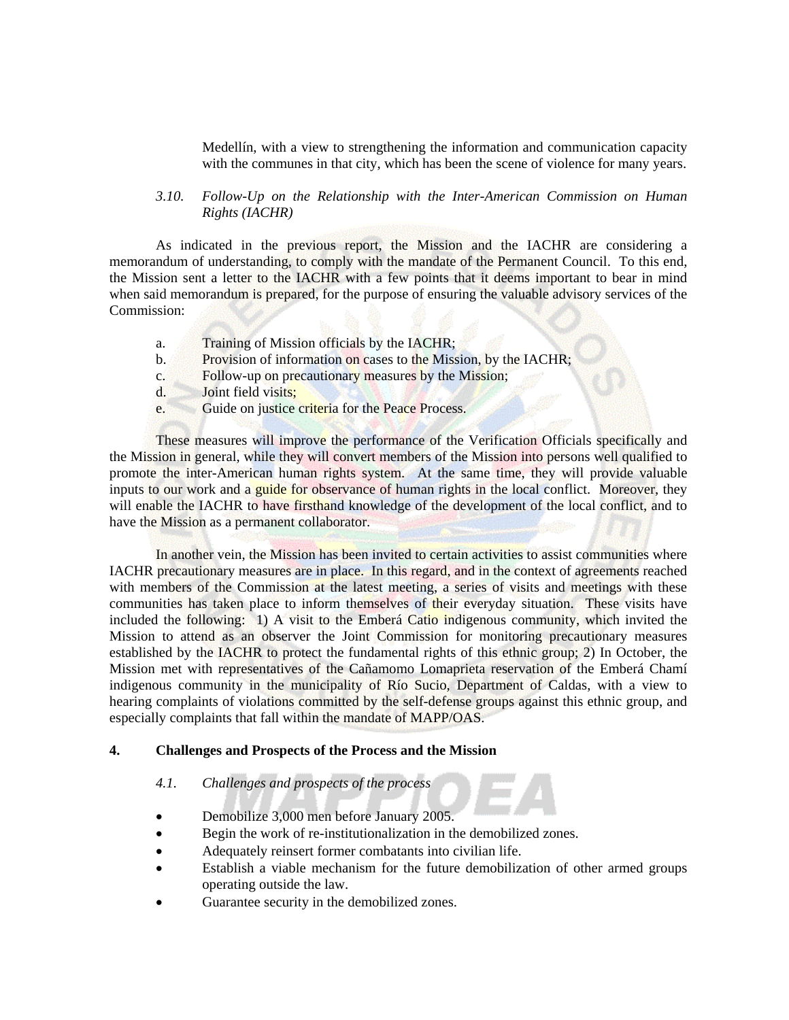Medellín, with a view to strengthening the information and communication capacity with the communes in that city, which has been the scene of violence for many years.

## *3.10. Follow-Up on the Relationship with the Inter-American Commission on Human Rights (IACHR)*

As indicated in the previous report, the Mission and the IACHR are considering a memorandum of understanding, to comply with the mandate of the Permanent Council. To this end, the Mission sent a letter to the IACHR with a few points that it deems important to bear in mind when said memorandum is prepared, for the purpose of ensuring the valuable advisory services of the Commission:

- a. Training of Mission officials by the IACHR;
- b. Provision of information on cases to the Mission, by the IACHR;
- c. Follow-up on precautionary measures by the Mission;
- d. Joint field visits;
- e. Guide on justice criteria for the Peace Process.

These measures will improve the performance of the Verification Officials specifically and the Mission in general, while they will convert members of the Mission into persons well qualified to promote the inter-American human rights system. At the same time, they will provide valuable inputs to our work and a guide for observance of human rights in the local conflict. Moreover, they will enable the IACHR to have firsthand knowledge of the development of the local conflict, and to have the Mission as a permanent collaborator.

In another vein, the Mission has been invited to certain activities to assist communities where IACHR precautionary measures are in place. In this regard, and in the context of agreements reached with members of the Commission at the latest meeting, a series of visits and meetings with these communities has taken place to inform themselves of their everyday situation. These visits have included the following: 1) A visit to the Emberá Catio indigenous community, which invited the Mission to attend as an observer the Joint Commission for monitoring precautionary measures established by the IACHR to protect the fundamental rights of this ethnic group; 2) In October, the Mission met with representatives of the Cañamomo Lomaprieta reservation of the Emberá Chamí indigenous community in the municipality of Río Sucio, Department of Caldas, with a view to hearing complaints of violations committed by the self-defense groups against this ethnic group, and especially complaints that fall within the mandate of MAPP/OAS.

## **4. Challenges and Prospects of the Process and the Mission**

#### *4.1. Challenges and prospects of the process*

- Demobilize 3,000 men before January 2005.
- Begin the work of re-institutionalization in the demobilized zones.
- Adequately reinsert former combatants into civilian life.
- Establish a viable mechanism for the future demobilization of other armed groups operating outside the law.
- Guarantee security in the demobilized zones.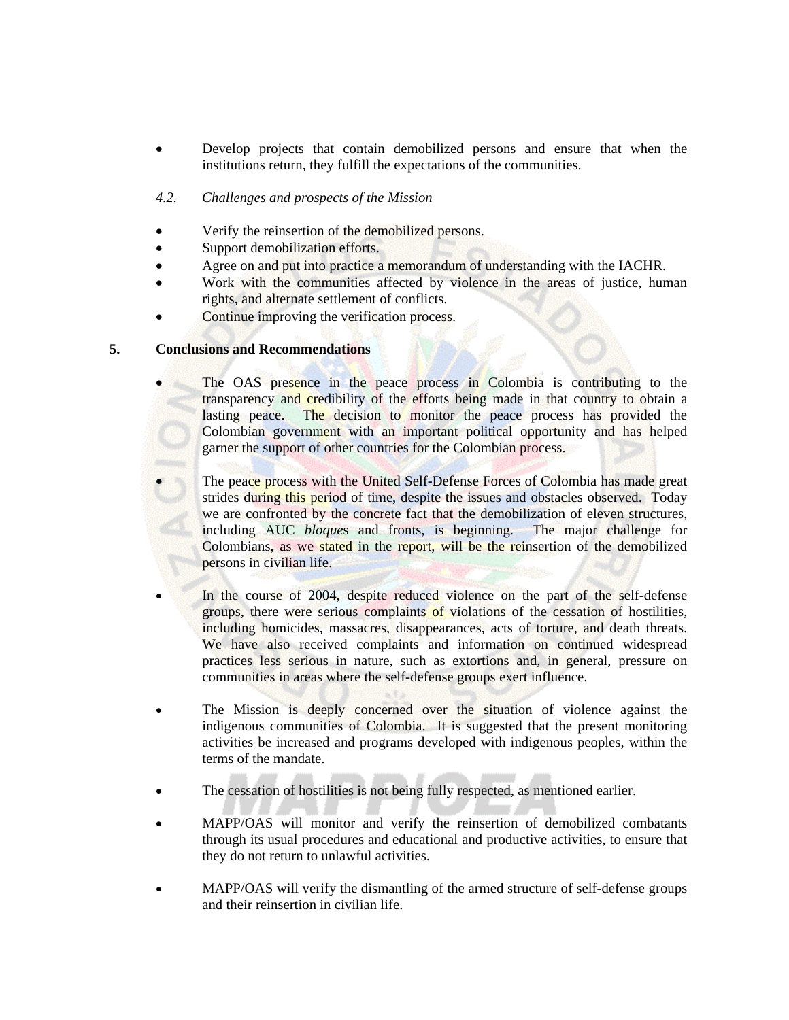• Develop projects that contain demobilized persons and ensure that when the institutions return, they fulfill the expectations of the communities.

## *4.2. Challenges and prospects of the Mission*

- Verify the reinsertion of the demobilized persons.
- Support demobilization efforts.
- Agree on and put into practice a memorandum of understanding with the IACHR.
- Work with the communities affected by violence in the areas of justice, human rights, and alternate settlement of conflicts.
- Continue improving the verification process.

## **5. Conclusions and Recommendations**

- The OAS presence in the peace process in Colombia is contributing to the transparency and credibility of the efforts being made in that country to obtain a lasting peace. The decision to monitor the peace process has provided the Colombian government with an important political opportunity and has helped garner the support of other countries for the Colombian process.
- The peace process with the United Self-Defense Forces of Colombia has made great strides during this period of time, despite the issues and obstacles observed. Today we are confronted by the concrete fact that the demobilization of eleven structures, including AUC *bloque*s and fronts, is beginning. The major challenge for Colombians, as we stated in the report, will be the reinsertion of the demobilized persons in civilian life.
- In the course of 2004, despite reduced violence on the part of the self-defense groups, there were serious complaints of violations of the cessation of hostilities, including homicides, massacres, disappearances, acts of torture, and death threats. We have also received complaints and information on continued widespread practices less serious in nature, such as extortions and, in general, pressure on communities in areas where the self-defense groups exert influence.
- The Mission is deeply concerned over the situation of violence against the indigenous communities of Colombia. It is suggested that the present monitoring activities be increased and programs developed with indigenous peoples, within the terms of the mandate.
- The cessation of hostilities is not being fully respected, as mentioned earlier.
- MAPP/OAS will monitor and verify the reinsertion of demobilized combatants through its usual procedures and educational and productive activities, to ensure that they do not return to unlawful activities.
- MAPP/OAS will verify the dismantling of the armed structure of self-defense groups and their reinsertion in civilian life.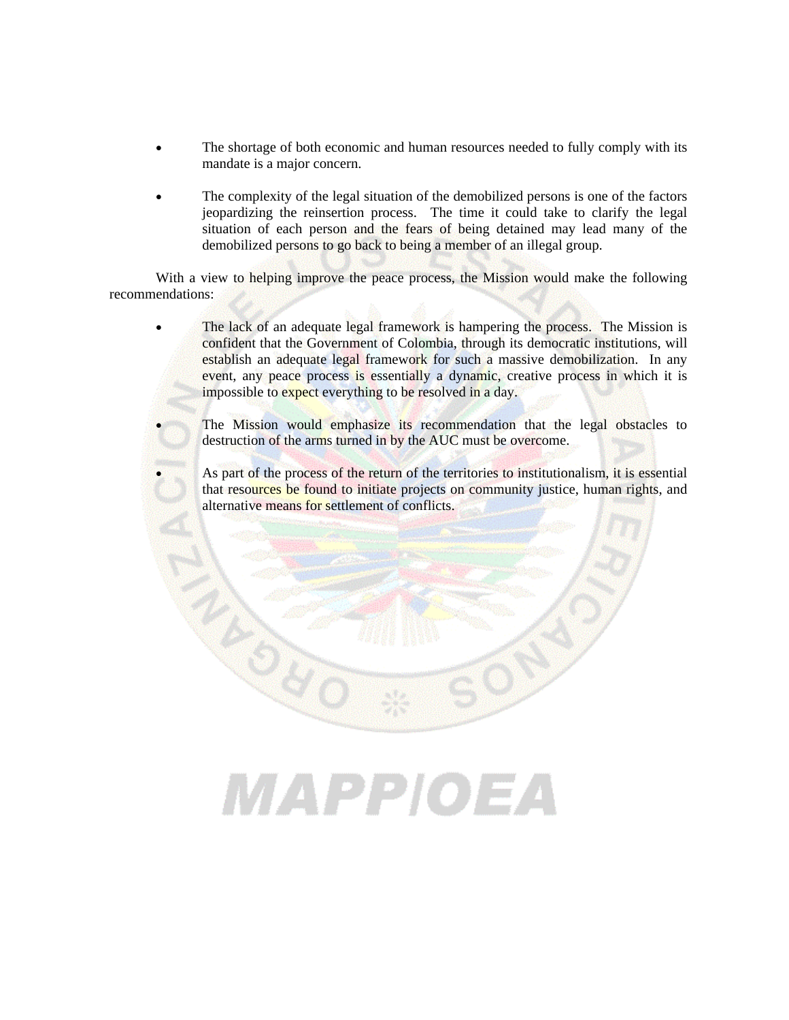- The shortage of both economic and human resources needed to fully comply with its mandate is a major concern.
- The complexity of the legal situation of the demobilized persons is one of the factors jeopardizing the reinsertion process. The time it could take to clarify the legal situation of each person and the fears of being detained may lead many of the demobilized persons to go back to being a member of an illegal group.

With a view to helping improve the peace process, the Mission would make the following recommendations:

- The lack of an adequate legal framework is hampering the process. The Mission is confident that the Government of Colombia, through its democratic institutions, will establish an adequate legal framework for such a massive demobilization. In any event, any peace process is essentially a dynamic, creative process in which it is impossible to expect everything to be resolved in a day.
	- The Mission would emphasize its recommendation that the legal obstacles to destruction of the arms turned in by the AUC must be overcome.
	- As part of the process of the return of the territories to institutionalism, it is essential that resources be found to initiate projects on community justice, human rights, and alternative means for settlement of conflicts.

# MAPPIOEA